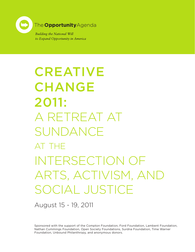

**Building the National Will** to Expand Opportunity in America

CREATIVE CHANGE 2011: A RETREAT AT SUNDANCE at the INTERSECTION OF ARTS, ACTIVISM, AND SOCIAL JUSTICE

August 15 - 19, 2011

Sponsored with the support of the Compton Foundation, Ford Foundation, Lambent Foundation, Nathan Cummings Foundation, Open Society Foundations, Surdna Foundation, Time Warner Foundation, Unbound Philanthropy, and anonymous donors.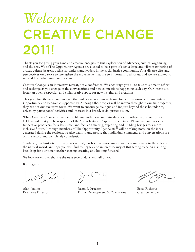# *Welcome to* CREATIVE CHANGE 2011!

Thank you for giving your time and creative energies to this exploration of advocacy, cultural organizing, and the arts. We at The Opportunity Agenda are excited to be a part of such a large and vibrant gathering of artists, culture bearers, activists, funders, and leaders in the social justice community. Your diverse gifts and perspectives only serve to strengthen the movements that are so important to all of us, and we are excited to see and hear what you have to share.

Creative Change is an interactive retreat, not a conference. We encourage you all to take this time to reflect and recharge as you engage in the conversations and new connections happening each day. Our intent is to foster an open, respectful, and collaborative space for new insights and creations.

This year, two themes have emerged that will serve as an initial frame for our discussions: Immigrants and Opportunity and Economic Opportunity. Although these topics will be woven throughout our time together, they are not our exclusive focus. We want to encourage dialogue and inquiry beyond those boundaries, driven by participants' activities and interests in a broad, social justice vision.

While Creative Change is intended to fill you with ideas and introduce you to others in and out of your field, we ask that you be respectful of the "no solicitation" spirit of the retreat. Please save inquiries to funders or producers for a later date, and focus on sharing, exploring and building bridges to a more inclusive future. Although members of The Opportunity Agenda staff will be taking notes on the ideas generated during the sessions, we also want to underscore that individual comments and conversations are off the record and completely confidential.

Sundance, our host site for this year's retreat, has become synonymous with a commitment to the arts and the natural world. We hope you will find the legacy and inherent beauty of this setting to be an inspiring backdrop for our time together sharing, creating and looking forward.

We look forward to sharing the next several days with all of you!

Best regards,

la dub-

Alan Jenkins Executive Director

Jason P. Drucker Dir. of Development & Operations

Betsy Richards Creative Fellow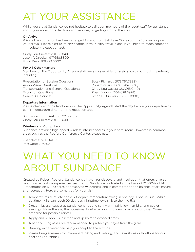# AT YOUR ASSISTANCE

While you are at Sundance, do not hesitate to call upon members of the resort staff for assistance about your room, hotel facilities and services, or getting around the area.

#### On Arrival

Private transportation has been arranged for you from Salt Lake City airport to Sundance upon your arrival. Please alert us to any change in your initial travel plans. If you need to reach someone immediately, please contact:

Cindy Lou Cuesta: 201.918.0410 Jason P. Drucker: 917.658.8800 Front Desk: 801.223.6000

#### For All Other Matters

Members of The Opportunity Agenda staff are also available for assistance throughout the retreat, including:

Presentation or Session Questions: Betsy Richards (973.767.7889) Audio Visual Questions: Robert Valencia (305.457.7938) Transportation and General Questions: Cindy Lou Cuesta (201.918.0410) Excursion Questions: Ross Mudrick (608.628.6978) General Questions:  $J_{\text{as}}$  Jason P. Drucker (917.658.8800)

#### Departure Information

Please check with the front desk or The Opportunity Agenda staff the day before your departure to confirm departure time from the reception area.

Sundance Front Desk: 801.223.6000 Cindy Lou Cuesta: 201.918.0410

#### Wireless and Computers

Sundance provides high-speed wireless internet access in your hotel room. However, in common areas such as the Redford Conference Center, please use.

User Name: SUNDANCE Password: 226202

## WHAT YOU NEED TO KNOW ABOUT SUNDANCE

Created by Robert Redford, Sundance is a haven for discovery and inspiration that offers diverse mountain recreation experiences year round. Sundance is situated at the base of 12,000-foot Mt. Timpanogos on 5,000 acres of preserved wilderness, and is committed to the balance of art, nature, and recreation. Here are some tips for your visit:

- $\triangleright$  Temperatures fluctuate and a 30-degree temperature swing in one day is not unusual. While daytime highs can reach 90 degrees, nighttime lows sink to the mid 50s.
- In Dress in layers: August at Sundance is hot and sunny with fairly low humidity and cooler evenings. Nevertheless, the occasional brief afternoon thunderstorm is not unusual. Come prepared for possible rainfall.
- $\blacktriangleright$  Apply and re-apply sunscreen and lip balm to exposed areas.
- $\blacktriangleright$  A hat and sunglasses are recommended to protect your eyes from the glare.
- $\triangleright$  Drinking extra water can help you adapt to the altitude.
- **IDED Please bring sneakers for low-impact hiking and walking, and Teva shoes or flip-flops for our** float trip (no rapids).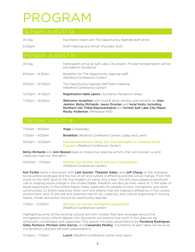# PROGRAM

| All dav             | Facilitation team and The Opportunity Agenda staff arrive |
|---------------------|-----------------------------------------------------------|
| 6:00pm              | Staff meeting and dinner (Foundry Grill)                  |
| I MONDAY, AUGUST 15 |                                                           |

| All dav                           | Participants arrive at Salt Lake City airport. Private transportation will be<br>provided to Sundance.                                                                                                                                                |
|-----------------------------------|-------------------------------------------------------------------------------------------------------------------------------------------------------------------------------------------------------------------------------------------------------|
| $8:00$ am - $9:30$ am             | Breakfast for The Opportunity Agenda staff<br>(Redford Conference Center)                                                                                                                                                                             |
| $9:30$ am - 12:00pm               | The Opportunity Agenda staff team meeting<br>(Redford Conference Center)                                                                                                                                                                              |
| 12:00pm - 6:30pm                  | <b>Registration table opens</b> (Sundance Reception Area)                                                                                                                                                                                             |
| $7:00 \text{pm} - 9:00 \text{pm}$ | <b>Welcome reception</b> with food & drink, photos, and remarks by Alan<br>Jenkins, Betsy Richards, Jason Drucker and local hosts, including<br>Northern Ute Tribal Representative and former Salt Lake City Mayor<br>Rocky Anderson (Rehearsal Hall) |

#### TUESDAY, AUGUST 16

| 7:00am - 8:00am     | Yoga (Creekside)                                                                                             |
|---------------------|--------------------------------------------------------------------------------------------------------------|
| 7:30am - 9:00am     | <b>Breakfast</b> (Redford Conference Center Lobby and Lawn)                                                  |
| $9:00$ am – 10:00am | Interconnectedness: What Are Your Strengths in Creating Social<br><b>Change?</b> (Redford Conference Center) |

Betsy Richards and Ann Beeson lead an interactive opening activity that will connect us and creatively map our strengths.

| 10:00am - 11:00am | <b>Sharing Our Stories: Art &amp; Activism Conversation</b> |
|-------------------|-------------------------------------------------------------|
|                   | (Redford Conference Center)                                 |

Ken Foster leads a discussion with Lani Guinier, Theaster Gates, and Jeff Chang on the changing social justice landscape and the role of art and culture in affecting positive social change. From folk music to the AIDS Quilt to hip hop theater (to name only a few), the arts have played a significant role in creating social change in the United States. Panelists will discuss their views of: 1) the state of equal opportunity in the United States today, especially for people of color, immigrants, and other communities; 2) artistic practices (their own and others) that are making a difference in the current environment; and, 3) the real and potential role for art, creativity, and cultural organizing in moving hearts, minds, and policy around an opportunity agenda.

11:15am – 12:30pm Sharing our Stories: Immigrant Opportunity (*Redford Conference Center*)

Highlighting some of the exciting cultural activism models that have emerged around the immigration policy reform debate, this discussion will explore how work in this area can be enhanced, coordinated, and supported. This session includes presentations by Favianna Rodriguez, Gaby Pacheco, Michael John Garces, and Cassandra Medley. Facilitators at each table will serve as conversation catalysts between presentations.

12:30pm – 1:30pm Lunch (*Redford Conference Center and Lawn*)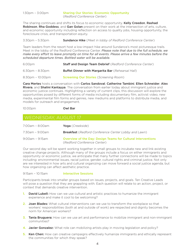| 1:30pm – 3:00pm | <b>Sharing Our Stories: Economic Opportunity</b> |
|-----------------|--------------------------------------------------|
|                 | (Redford Conference Center)                      |

The sharing continues and shifts its focus to economic opportunity. Kelly Creedon, Rashad Robinson, Rha Goddess, and Gan Golan present on their work at the intersection of arts, culture, and economic opportunity including reflection on access to quality jobs, housing opportunity, the foreclosure crisis, and transportation equity.

#### 3:30pm – 5:30pm Sundance Hike (*Meet in lobby of Redford Conference Center*)

Team leaders from the resort host a low-impact hike around Sundance's most picturesque trails. Meet in the lobby of the Redford Conference Center. *Please note that due to the full schedule, we make every effort to leave promptly on time for all events. Please arrive a few minutes before the scheduled departure times. Bottled water will be available.*

| 6:00pm                | <b>Staff and Design Team Debrief</b> (Redford Conference Center) |
|-----------------------|------------------------------------------------------------------|
| $6:30$ pm – $8:30$ pm | <b>Buffet Dinner with Margarita Bar</b> (Rehearsal Hall)         |
| $8:30$ pm – 10:00pm   | <b>Screening Our Stories</b> (Screening Room)                    |

Cara Mertes hosts a conversation with Carlos Sandoval, Catherine Tambini, Ellen Schneider, Alex Rivera, and Shalini Kantayya. The conversation from earlier today about immigrant justice and economic justice continues. Highlighting a variety of current clips, this discussion will explore the opportunities posed by different forms of media including documentary film, activist video, new media, experimental film forms and genres, new mediums and platforms to distribute media, and models for outreach and engagement.

10:00pm Owl Bar

#### WEDNESDAY, AUGUST 17

| 7:00am - 8:00am       | Yoga (Creekside)                                                                            |
|-----------------------|---------------------------------------------------------------------------------------------|
| 7:30am - 9:00am       | <b>Breakfast</b> (Redford Conference Center Lobby and Lawn)                                 |
| $9:00$ am – $9:15$ am | Overview of the Day: Design Teams for Cultural Interventions<br>(Redford Conference Center) |

Our second day will be spent working together in small groups to incubate new and link existing creative change projects. Although many of the groups include a focus on either immigrants and opportunity or economic justice, we anticipate that many further connections will be made to topics including: environmental issues, racial justice, gender, cultural rights and criminal justice. Not only are we interested in how arts and cultural organizing can move forward a social justice agenda, but how organizing can affect aesthetic practice.

#### 9:15am - 10:15am **Interactive Sessions**

Participants break into smaller groups based on issues, projects, and goals. Ten Creative Leads will pose a question that they are grappling with. Each question will relate to an action, project, or context that demands creative intervention.

- 1. David Lubell: How can we use cultural and artistic practices to humanize the immigrant experience and make it cool to be welcoming?
- 2. Joan Blades: What cultural interventions can we use to transform the workplace so that workers' responsibilities (both at and outside of work) are respected and dignity becomes the norm for American workers?
- 3. Tania Bruguera: How can we use art and performance to mobilize immigrant and non-immigrant communities?
- 4. Javier Gonzalez: What role can mobilizing artists play in moving legislation and policy?
- **5. Ken Chen:** How can creative campaigns effectively humanize immigrants and ethically represent the communities for which they speak?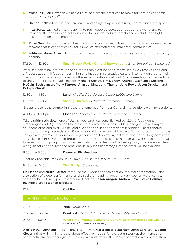- **6. Michelle Miller:** How can we use cultural and artistic practices to move forward an economic opportunity agenda?
- 7. Damon Rich: What role does creativity and design play in revitalizing communities and spaces?
- 8. Inez Gonzalez: Media has the ability to form people's perceptions about the world and to influence their opinion on policy issues. How do we mobilize artists and celebrities to fight misinformation in the media?
- 9. Rinku Sen: How can communities of color and youth use cultural organizing to move an agenda forward that is economically vital, as well as affirmative for immigrant communities?
- 10. **Adrienne Maree Brown:** How do we engage communities to work on an economic opportunity agenda?

10:30am – 12:30pm Small Group Work – Cultural Interventions (*sites throughout Sundance*)

After self-selecting into groups of no more than eight persons, teams, led by a Creative Lead and a Process Lead, will focus on designing and incubating a creative cultural intervention around their line of inquiry. Each design team has the same "creative constraints" for presenting its intervention to the group. Process Leads include: Michelle Coffey, Tim Dorsey, Andrea Assaf, Jose Serrano-McCain, Beth Jansen, Molly Sturges, Alan Jenkins, Juhu Thukral, Julie Rowe, Jason Drucker, and Betsy Richards.

| 12:30pm - 1:30pm   | <b>Lunch</b> (Redford Conference Center Lobby and Lawn)                          |
|--------------------|----------------------------------------------------------------------------------|
| $1:30$ pm – 3:00pm | <b>Sharing Our Work</b> (Redford Conference Center)                              |
|                    | Groups present the compelling ideas that emerged from our Cultural Interventions |

4:00pm – 6:00pm Float Trip (*Leaves from Redford Conference Center*)

Take a rafting trip down one of Utah's "postcard" canyons, flanked by 12,000-foot Mount Timpanogos and Big Cascade Mountain. You'll enjoy the unbelievable scenery in Provo Canyon, abundant birds and river wildlife, and exciting trips under historic train bridges. Guests should consider bringing: 1) sunglasses; 2) camera or video-camera with a case; 3) comfortable clothes that can get wet (swimsuits or quick-drying shorts and T-shirts); 4) hat with fastener; 5) long pants and long-sleeve shirt (if you need protection from the sun); 6) shoes that can get wet (Chaco and Tevatype sandals or flip-flops that fasten securely on your feet are the best option). There are very few biting insects on the river and repellent usually isn't necessary. Bottled water will be available.

working sessions.

6:30pm – 8:30pm Dinner at Elk Meadows

Meet at Creekside Deck on Ray's Lawn, with shuttle service until 7:15pm.

8:45pm – 10:15pm The Mix Up (*Creekside*)

Liz Manne and Negin Farsad introduce their work and then host an informal conversation using a selection of video, performance, and visual art including: documentary, spoken word, comic, and popular culture clips. Presenters will include: Jason Aragón, Andrew Boyd, Steve Colman, Invincible, and Stephen Brackett.

#### 10:15pm Owl Bar

### THURSDAY, AUGUST 18

| 7:00am - 8:00am     | Yoga (Creekside)                                                                                 |
|---------------------|--------------------------------------------------------------------------------------------------|
| 7:30am - 9:00am     | <b>Breakfast</b> (Redford Conference Center Lobby and Lawn)                                      |
| $9:00$ am – 10:30am | What's the Impact? Evaluating Cultural Strategy and Social Change<br>(Redford Conference Center) |

Alexis McGill Johnson hosts a conversation with Maria Rosario Jackson, John Bare, and Eleanor **Cleverly** that will highlight ideas about effective models for evaluating work at the intersection of art, activism, and social justice. How do we understand the impact of artistic work and cultural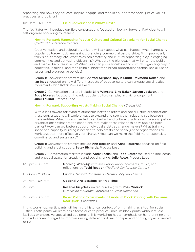organizing and how they educate, inspire, engage, and mobilize support for social justice values, practices, and policies?

10:30am – 12:00pm Field Conversations: What's Next?

The facilitator will introduce our field conversations focused on looking forward. Participants will self-organize according to interest.

Moving Forward: Harnessing Popular Culture and Cultural Organizing for Social Change (*Redford Conference Center*)

Creative leaders and cultural organizers will talk about what can happen when harnessing popular culture—music, magazines, branding, commercial partnerships, film, graphic art, television, comedy, etc. What roles can creativity and cultural organizing play in engaging communities and activating citizenship? What are the big ideas that will enter the public and media discourse in 2012? What roles can popular culture and cultural organizing play in educating, inspiring, and mobilizing support for a broad opportunity agenda, social justice values, and progressive policies?

Group 1: Conversation starters include Yosi Sergant, Tayyib Smith, Raymond Roker, and Ian Inaba focused on how different aspects of popular culture can engage social justice movements. Erin Potts: Process Lead

Group 2: Conversation starters include Billy Wimsatt, Biko Baker, Jayson Jackson, and **Eddy Morales** focused on the role popular culture can play in civic engagement. Juhu Thukral: Process Lead

#### Moving Forward: Supporting Artists Making Social Change (*Creekside*)

With a lens toward fortifying relationships between artists and social justice organizations, these conversations will explore ways to expand and strengthen relationships between these entities. What more is needed to embed art and cultural practices within social justice organizations? What are the conditions that make these relationships valuable to both parties? How can we better support individual artists as change makers? What training, space and capacity-building is needed to help artists and social justice organizations to work together more effectively for change? How can we make the field more responsive, coordinated and sustainable?

Group 1: Conversation starters include Ann Beeson and Anne Pasternak focused on fieldbuilding and artist support. Betsy Richards: Process Lead

Group 2: Conversation starters include Andy Shallal and Todd Lester focused on intellectual and physical space for creativity and social change. Julie Rowe: Process Lead

| 12:15pm – 1:00pm | Morning Wrap-Up with evaluation, announcements, music, and<br>reflections by Toshi Reagon (Redford Conference Center)   |
|------------------|-------------------------------------------------------------------------------------------------------------------------|
| 1: 00pm - 2:00pm | <b>Lunch</b> (Redford Conference Center Lobby and Lawn)                                                                 |
| 2:00pm - 6:30pm  | <b>Optional Arts Sessions or Free Time</b>                                                                              |
| 2:00pm           | <b>Reserve bicycles</b> (limited number) with <b>Ross Mudrick</b><br>(Creekside Mountain Outfitters at Guest Reception) |
| 2:00pm - 3:30pm  | Paper Politics: Experiments in Linoleum Block Printing with Favianna<br>Rodriguez (Creekside)                           |

In this workshop, participants will learn the historical context of printmaking as a tool for social justice. Participants will learn basic techniques to produce linoleum block prints without studio facilities or expensive specialized equipment. This workshop has an emphasis on hand printing and students are encouraged to improvise using different textures of paper and printing styles. (Limited to 15)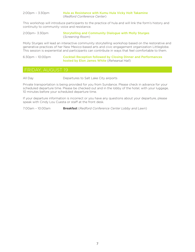| 2:00pm – 3:30pm | Hula as Resistance with Kumu Hula Vicky Holt Takamine |
|-----------------|-------------------------------------------------------|
|                 | (Redford Conference Center)                           |

This workshop will introduce participants to the practice of hula and will link the form's history and continuity to community voice and resistance.

| 2:00pm- 3:30pm | <b>Storytelling and Community Dialogue with Molly Sturges</b> |
|----------------|---------------------------------------------------------------|
|                | (Screening Room)                                              |

Molly Sturges will lead an interactive community storytelling workshop based on the restorative and generative practices of her New Mexico-based arts and civic engagement organization Littleglobe. This session is experiential and participants can contribute in ways that feel comfortable to them.

6:30pm – 10:00pm Cocktail Reception followed by Closing Dinner and Performances hosted by Elon James White (*Rehearsal Hall*)

All Day Departures to Salt Lake City airports

Private transportation is being provided for you from Sundance. Please check in advance for your scheduled departure time. Please be checked out and in the lobby of the hotel, with your luggage, 10 minutes before your scheduled departure time.

If your departure information is incorrect or you have any questions about your departure, please speak with Cindy Lou Cuesta or staff at the front desk.

7:00am – 10:00am Breakfast (*Redford Conference Center Lobby and Lawn*)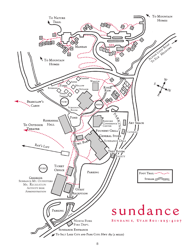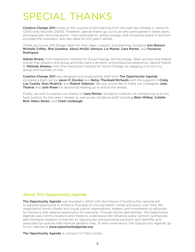## SPECIAL THANKS

Creative Change 2011 builds on the success of and learning from the past two retreats in Santa Fe (2010) and Telluride (2009). Therefore, special thanks go out to all who participated in these years, and especially returning alumni. Their participation, artistic energy, and innovative brand of activism provided the inspiration and new ideas for this year's retreat.

Thank you to our 2011 Design Team for their ideas, support, and planning, including Ann Beeson, Michelle Coffey, Rha Goddess, Alexis McGill Johnson, Liz Manne, Cara Mertes, and Favianna Rodriguez.

Gibrán Rivera, from Interaction Institute for Social Change, led the Design Team process and helped ensure that sessions and group activities were a dynamic and productive experience. Special thanks to Melinda Weekes, from the Interaction Institute for Social Change, for stepping in to join our group and facilitate on site.

Creative Change 2011 was designed and produced by staff from The Opportunity Agenda including a team led by Jason P. Drucker and Betsy Theobald Richards with the support of Cindy Lou Cuesta, Ross Mudrick, and Robert Valencia. We also would like to thank our colleagues Juhu Thukral and Julie Rowe for assistance leading up to and at the retreat.

Finally, we wish to express our thanks to **Cara Mertes**, Sundance Institute, for introducing us to the host location for this year's retreat, as well as key Sundance staff including **Blain Wilkey, Colette** Bird, Hilary Green, and Chad Linebaugh.

### About The Opportunity Agenda

The Opportunity Agenda was founded in 2004 with the mission of building the national will to expand opportunity in America. Focused on moving hearts, minds and policy over time, the organization works closely with social justice organizations, leaders, and movements to advocate for solutions that expand opportunity for everyone. Through active partnerships, The Opportunity Agenda uses communications and media to understand and influence public opinion; synthesizes and translates research on barriers to opportunity and promising solutions; and identifies and advocates for policies that improve people's lives. To learn more about The Opportunity Agenda, go to our website at www.opportunityagenda.org.

The Opportunity Agenda is a project of Tides Center.